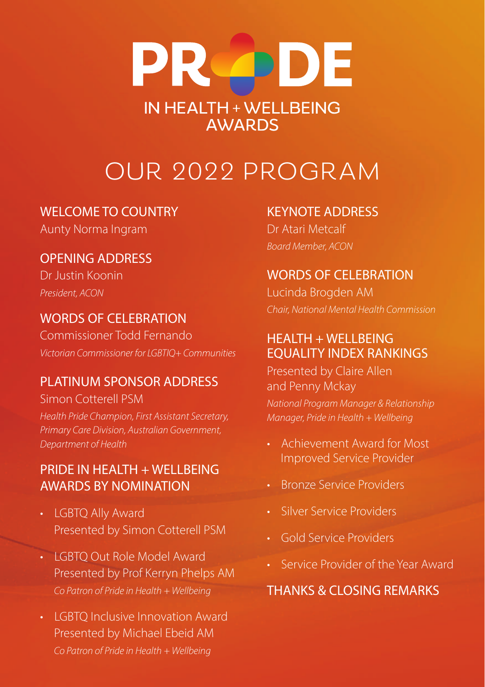# **PR PDE IN HEALTH + WELLBEING AWARDS**

## OUR 2022 PROGRAM

#### WELCOME TO COUNTRY

Aunty Norma Ingram

#### OPENING ADDRESS

Dr Justin Koonin *President, ACON*

#### WORDS OF CELEBRATION

Commissioner Todd Fernando *Victorian Commissioner for LGBTIQ+ Communities*

#### PLATINUM SPONSOR ADDRESS

Simon Cotterell PSM

*Health Pride Champion, First Assistant Secretary, Primary Care Division, Australian Government, Department of Health*

#### PRIDE IN HEALTH + WELLBEING AWARDS BY NOMINATION

- LGBTQ Ally Award Presented by Simon Cotterell PSM
- LGBTQ Out Role Model Award Presented by Prof Kerryn Phelps AM *Co Patron of Pride in Health + Wellbeing*
- **LGBTO Inclusive Innovation Award**  Presented by Michael Ebeid AM *Co Patron of Pride in Health + Wellbeing*

#### KEYNOTE ADDRESS

Dr Atari Metcalf *Board Member, ACON*

#### WORDS OF CELEBRATION

Lucinda Brogden AM *Chair, National Mental Health Commission*

#### $HFAITH + WFI I REING$ EQUALITY INDEX RANKINGS

Presented by Claire Allen and Penny Mckay

*National Program Manager & Relationship Manager, Pride in Health + Wellbeing*

- Achievement Award for Most Improved Service Provider
- Bronze Service Providers
- Silver Service Providers
- Gold Service Providers
- Service Provider of the Year Award

#### THANKS & CLOSING REMARKS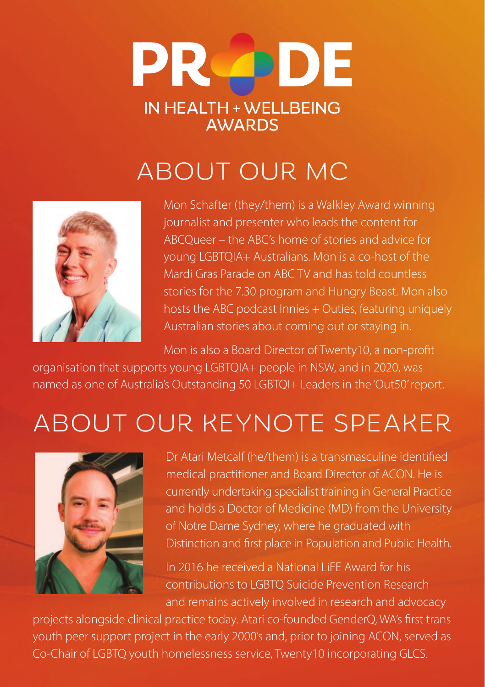

## ABOUT OUR MC



Mon Schafter (they/them) is a Walkley Award winning journalist and presenter who leads the content for ABCQueer – the ABC's home of stories and advice for young LGBTQIA+ Australians. Mon is a co-host of the Mardi Gras Parade on ABC TV and has told countless stories for the 7.30 program and Hungry Beast. Mon also hosts the ABC podcast Innies + Outies, featuring uniquely Australian stories about coming out or staying in.

Mon is also a Board Director of Twenty10, a non-profit

organisation that supports young LGBTQIA+ people in NSW, and in 2020, was named as one of Australia's Outstanding 50 LGBTQI+ Leaders in the 'Out50' report.

## ABOUT OUR KEYNOTE SPEAKER



Dr Atari Metcalf (he/them) is a transmasculine identified medical practitioner and Board Director of ACON. He is currently undertaking specialist training in General Practice and holds a Doctor of Medicine (MD) from the University of Notre Dame Sydney, where he graduated with Distinction and first place in Population and Public Health.

In 2016 he received a National LiFE Award for his contributions to LGBTQ Suicide Prevention Research and remains actively involved in research and advocacy

projects alongside clinical practice today. Atari co-founded GenderQ, WA's first trans youth peer support project in the early 2000's and, prior to joining ACON, served as Co-Chair of LGBTQ youth homelessness service, Twenty10 incorporating GLCS.